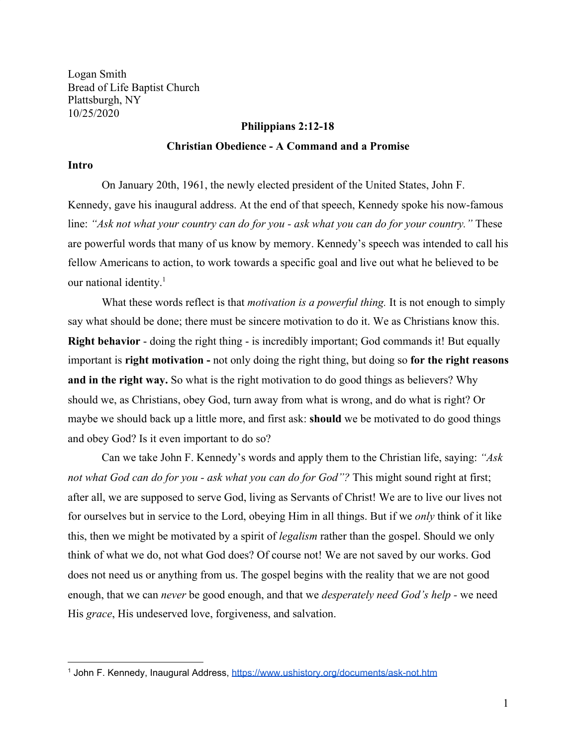Logan Smith Bread of Life Baptist Church Plattsburgh, NY 10/25/2020

## **Philippians 2:12-18**

# **Christian Obedience - A Command and a Promise**

### **Intro**

On January 20th, 1961, the newly elected president of the United States, John F. Kennedy, gave his inaugural address. At the end of that speech, Kennedy spoke his now-famous line: "Ask not what your country can do for you - ask what you can do for your country." These are powerful words that many of us know by memory. Kennedy's speech was intended to call his fellow Americans to action, to work towards a specific goal and live out what he believed to be our national identity.<sup>1</sup>

What these words reflect is that *motivation is a powerful thing.* It is not enough to simply say what should be done; there must be sincere motivation to do it. We as Christians know this. **Right behavior** - doing the right thing - is incredibly important; God commands it! But equally important is **right motivation -** not only doing the right thing, but doing so **for the right reasons and in the right way.** So what is the right motivation to do good things as believers? Why should we, as Christians, obey God, turn away from what is wrong, and do what is right? Or maybe we should back up a little more, and first ask: **should** we be motivated to do good things and obey God? Is it even important to do so?

Can we take John F. Kennedy's words and apply them to the Christian life, saying: *"Ask not what God can do for you - ask what you can do for God"?* This might sound right at first; after all, we are supposed to serve God, living as Servants of Christ! We are to live our lives not for ourselves but in service to the Lord, obeying Him in all things. But if we *only* think of it like this, then we might be motivated by a spirit of *legalism* rather than the gospel. Should we only think of what we do, not what God does? Of course not! We are not saved by our works. God does not need us or anything from us. The gospel begins with the reality that we are not good enough, that we can *never* be good enough, and that we *desperately need God's help -* we need His *grace*, His undeserved love, forgiveness, and salvation.

<sup>1</sup> John F. Kennedy, Inaugural Address, <https://www.ushistory.org/documents/ask-not.htm>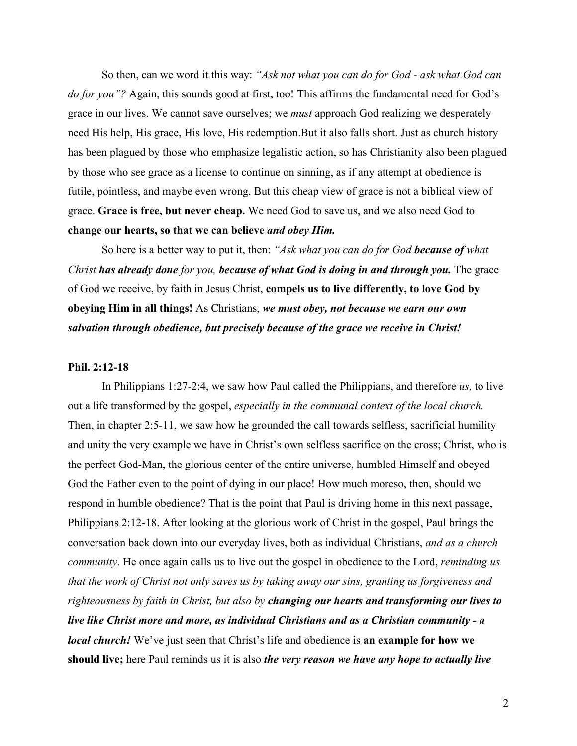So then, can we word it this way: *"Ask not what you can do for God - ask what God can do for you"?* Again, this sounds good at first, too! This affirms the fundamental need for God's grace in our lives. We cannot save ourselves; we *must* approach God realizing we desperately need His help, His grace, His love, His redemption.But it also falls short. Just as church history has been plagued by those who emphasize legalistic action, so has Christianity also been plagued by those who see grace as a license to continue on sinning, as if any attempt at obedience is futile, pointless, and maybe even wrong. But this cheap view of grace is not a biblical view of grace. **Grace is free, but never cheap.** We need God to save us, and we also need God to **change our hearts, so that we can believe** *and obey Him.*

So here is a better way to put it, then: *"Ask what you can do for God because of what Christ has already done for you, because of what God is doing in and through you.* The grace of God we receive, by faith in Jesus Christ, **compels us to live differently, to love God by obeying Him in all things!** As Christians, *we must obey, not because we earn our own salvation through obedience, but precisely because of the grace we receive in Christ!*

#### **Phil. 2:12-18**

In Philippians 1:27-2:4, we saw how Paul called the Philippians, and therefore *us,* to live out a life transformed by the gospel, *especially in the communal context of the local church.* Then, in chapter 2:5-11, we saw how he grounded the call towards selfless, sacrificial humility and unity the very example we have in Christ's own selfless sacrifice on the cross; Christ, who is the perfect God-Man, the glorious center of the entire universe, humbled Himself and obeyed God the Father even to the point of dying in our place! How much moreso, then, should we respond in humble obedience? That is the point that Paul is driving home in this next passage, Philippians 2:12-18. After looking at the glorious work of Christ in the gospel, Paul brings the conversation back down into our everyday lives, both as individual Christians, *and as a church community.* He once again calls us to live out the gospel in obedience to the Lord, *reminding us that the work of Christ not only saves us by taking away our sins, granting us forgiveness and righteousness by faith in Christ, but also by changing our hearts and transforming our lives to live like Christ more and more, as individual Christians and as a Christian community - a local church!* We've just seen that Christ's life and obedience is **an example for how we should live;** here Paul reminds us it is also *the very reason we have any hope to actually live*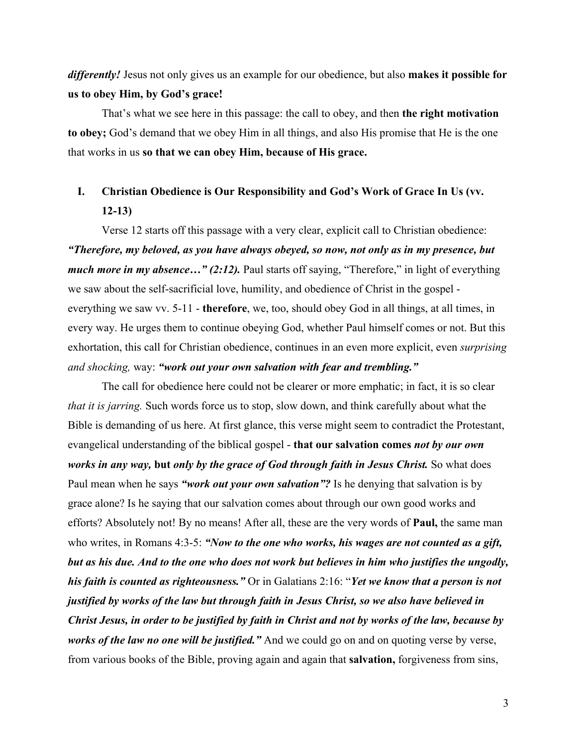*differently!* Jesus not only gives us an example for our obedience, but also **makes it possible for us to obey Him, by God's grace!**

That's what we see here in this passage: the call to obey, and then **the right motivation to obey;** God's demand that we obey Him in all things, and also His promise that He is the one that works in us **so that we can obey Him, because of His grace.**

# **I. Christian Obedience is Our Responsibility and God's Work of Grace In Us (vv. 12-13)**

Verse 12 starts off this passage with a very clear, explicit call to Christian obedience: *"Therefore, my beloved, as you have always obeyed, so now, not only as in my presence, but much more in my absence..." (2:12).* Paul starts off saying, "Therefore," in light of everything we saw about the self-sacrificial love, humility, and obedience of Christ in the gospel everything we saw vv. 5-11 - **therefore**, we, too, should obey God in all things, at all times, in every way. He urges them to continue obeying God, whether Paul himself comes or not. But this exhortation, this call for Christian obedience, continues in an even more explicit, even *surprising and shocking,* way: *"work out your own salvation with fear and trembling."*

The call for obedience here could not be clearer or more emphatic; in fact, it is so clear *that it is jarring.* Such words force us to stop, slow down, and think carefully about what the Bible is demanding of us here. At first glance, this verse might seem to contradict the Protestant, evangelical understanding of the biblical gospel - **that our salvation comes** *not by our own works in any way,* **but** *only by the grace of God through faith in Jesus Christ.* So what does Paul mean when he says *"work out your own salvation"?* Is he denying that salvation is by grace alone? Is he saying that our salvation comes about through our own good works and efforts? Absolutely not! By no means! After all, these are the very words of **Paul,** the same man who writes, in Romans 4:3-5: *"Now to the one who works, his wages are not counted as a gift, but as his due. And to the one who does not work but believes in him who justifies the ungodly, his faith is counted as righteousness."* Or in Galatians 2:16: "*Yet we know that a person is not justified by works of the law but through faith in Jesus Christ, so we also have believed in Christ Jesus, in order to be justified by faith in Christ and not by works of the law, because by works of the law no one will be justified.*" And we could go on and on quoting verse by verse, from various books of the Bible, proving again and again that **salvation,** forgiveness from sins,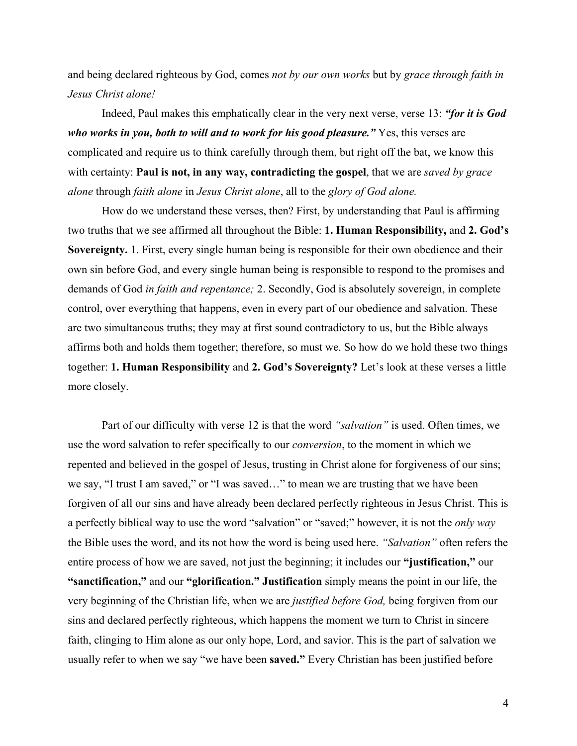and being declared righteous by God, comes *not by our own works* but by *grace through faith in Jesus Christ alone!*

Indeed, Paul makes this emphatically clear in the very next verse, verse 13: *"for it is God who works in you, both to will and to work for his good pleasure.*" Yes, this verses are complicated and require us to think carefully through them, but right off the bat, we know this with certainty: **Paul is not, in any way, contradicting the gospel**, that we are *saved by grace alone* through *faith alone* in *Jesus Christ alone*, all to the *glory of God alone.*

How do we understand these verses, then? First, by understanding that Paul is affirming two truths that we see affirmed all throughout the Bible: **1. Human Responsibility,** and **2. God's Sovereignty.** 1. First, every single human being is responsible for their own obedience and their own sin before God, and every single human being is responsible to respond to the promises and demands of God *in faith and repentance;* 2. Secondly, God is absolutely sovereign, in complete control, over everything that happens, even in every part of our obedience and salvation. These are two simultaneous truths; they may at first sound contradictory to us, but the Bible always affirms both and holds them together; therefore, so must we. So how do we hold these two things together: **1. Human Responsibility** and **2. God's Sovereignty?** Let's look at these verses a little more closely.

Part of our difficulty with verse 12 is that the word *"salvation"* is used. Often times, we use the word salvation to refer specifically to our *conversion*, to the moment in which we repented and believed in the gospel of Jesus, trusting in Christ alone for forgiveness of our sins; we say, "I trust I am saved," or "I was saved…" to mean we are trusting that we have been forgiven of all our sins and have already been declared perfectly righteous in Jesus Christ. This is a perfectly biblical way to use the word "salvation" or "saved;" however, it is not the *only way* the Bible uses the word, and its not how the word is being used here. *"Salvation"* often refers the entire process of how we are saved, not just the beginning; it includes our **"justification,"** our **"sanctification,"** and our **"glorification." Justification** simply means the point in our life, the very beginning of the Christian life, when we are *justified before God,* being forgiven from our sins and declared perfectly righteous, which happens the moment we turn to Christ in sincere faith, clinging to Him alone as our only hope, Lord, and savior. This is the part of salvation we usually refer to when we say "we have been **saved."** Every Christian has been justified before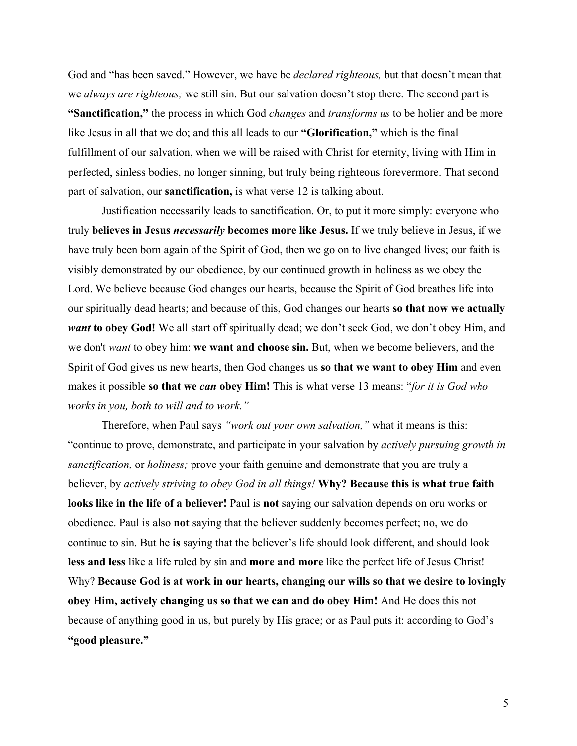God and "has been saved." However, we have be *declared righteous,* but that doesn't mean that we *always are righteous;* we still sin. But our salvation doesn't stop there. The second part is **"Sanctification,"** the process in which God *changes* and *transforms us* to be holier and be more like Jesus in all that we do; and this all leads to our **"Glorification,"** which is the final fulfillment of our salvation, when we will be raised with Christ for eternity, living with Him in perfected, sinless bodies, no longer sinning, but truly being righteous forevermore. That second part of salvation, our **sanctification,** is what verse 12 is talking about.

Justification necessarily leads to sanctification. Or, to put it more simply: everyone who truly **believes in Jesus** *necessarily* **becomes more like Jesus.** If we truly believe in Jesus, if we have truly been born again of the Spirit of God, then we go on to live changed lives; our faith is visibly demonstrated by our obedience, by our continued growth in holiness as we obey the Lord. We believe because God changes our hearts, because the Spirit of God breathes life into our spiritually dead hearts; and because of this, God changes our hearts **so that now we actually** *want* **to obey God!** We all start off spiritually dead; we don't seek God, we don't obey Him, and we don't *want* to obey him: **we want and choose sin.** But, when we become believers, and the Spirit of God gives us new hearts, then God changes us **so that we want to obey Him** and even makes it possible **so that we** *can* **obey Him!** This is what verse 13 means: "*for it is God who works in you, both to will and to work."*

Therefore, when Paul says *"work out your own salvation,"* what it means is this: "continue to prove, demonstrate, and participate in your salvation by *actively pursuing growth in sanctification,* or *holiness;* prove your faith genuine and demonstrate that you are truly a believer, by *actively striving to obey God in all things!* **Why? Because this is what true faith looks like in the life of a believer!** Paul is **not** saying our salvation depends on oru works or obedience. Paul is also **not** saying that the believer suddenly becomes perfect; no, we do continue to sin. But he **is** saying that the believer's life should look different, and should look **less and less** like a life ruled by sin and **more and more** like the perfect life of Jesus Christ! Why? **Because God is at work in our hearts, changing our wills so that we desire to lovingly obey Him, actively changing us so that we can and do obey Him!** And He does this not because of anything good in us, but purely by His grace; or as Paul puts it: according to God's **"good pleasure."**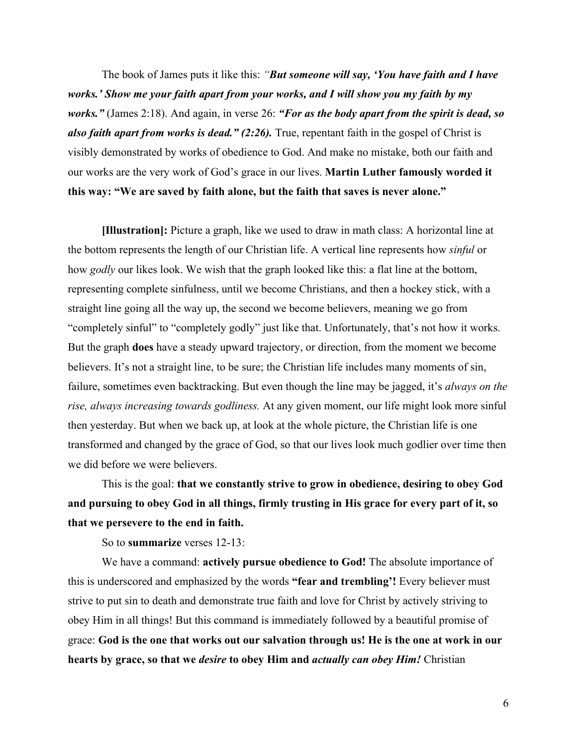The book of James puts it like this: *"But someone will say, 'You have faith and I have works.' Show me your faith apart from your works, and I will show you my faith by my works."* (James 2:18). And again, in verse 26: *"For as the body apart from the spirit is dead, so also faith apart from works is dead." (2:26).* True, repentant faith in the gospel of Christ is visibly demonstrated by works of obedience to God. And make no mistake, both our faith and our works are the very work of God's grace in our lives. **Martin Luther famously worded it this way: "We are saved by faith alone, but the faith that saves is never alone."**

**[Illustration]:** Picture a graph, like we used to draw in math class: A horizontal line at the bottom represents the length of our Christian life. A vertical line represents how *sinful* or how *godly* our likes look. We wish that the graph looked like this: a flat line at the bottom, representing complete sinfulness, until we become Christians, and then a hockey stick, with a straight line going all the way up, the second we become believers, meaning we go from "completely sinful" to "completely godly" just like that. Unfortunately, that's not how it works. But the graph **does** have a steady upward trajectory, or direction, from the moment we become believers. It's not a straight line, to be sure; the Christian life includes many moments of sin, failure, sometimes even backtracking. But even though the line may be jagged, it's *always on the rise, always increasing towards godliness.* At any given moment, our life might look more sinful then yesterday. But when we back up, at look at the whole picture, the Christian life is one transformed and changed by the grace of God, so that our lives look much godlier over time then we did before we were believers.

This is the goal: **that we constantly strive to grow in obedience, desiring to obey God and pursuing to obey God in all things, firmly trusting in His grace for every part of it, so that we persevere to the end in faith.**

So to **summarize** verses 12-13:

We have a command: **actively pursue obedience to God!** The absolute importance of this is underscored and emphasized by the words **"fear and trembling'!** Every believer must strive to put sin to death and demonstrate true faith and love for Christ by actively striving to obey Him in all things! But this command is immediately followed by a beautiful promise of grace: **God is the one that works out our salvation through us! He is the one at work in our hearts by grace, so that we** *desire* **to obey Him and** *actually can obey Him!* Christian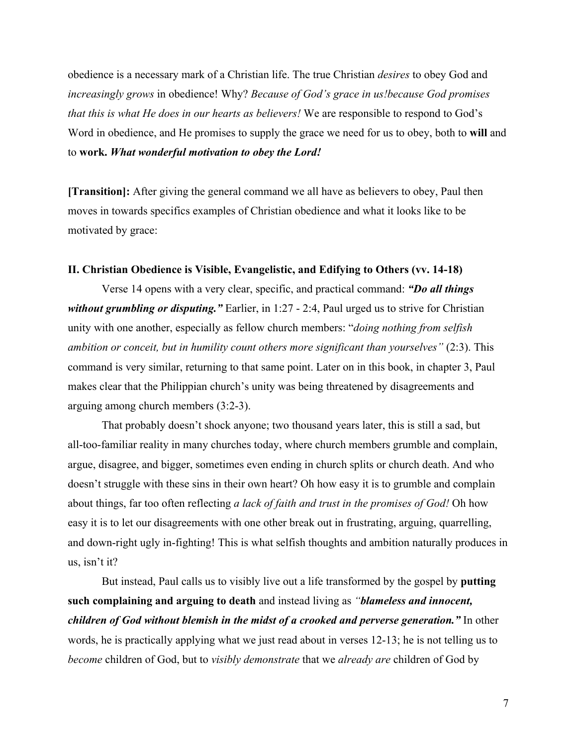obedience is a necessary mark of a Christian life. The true Christian *desires* to obey God and *increasingly grows* in obedience! Why? *Because of God's grace in us!because God promises that this is what He does in our hearts as believers!* We are responsible to respond to God's Word in obedience, and He promises to supply the grace we need for us to obey, both to **will** and to **work.** *What wonderful motivation to obey the Lord!*

**[Transition]:** After giving the general command we all have as believers to obey, Paul then moves in towards specifics examples of Christian obedience and what it looks like to be motivated by grace:

# **II. Christian Obedience is Visible, Evangelistic, and Edifying to Others (vv. 14-18)**

Verse 14 opens with a very clear, specific, and practical command: *"Do all things without grumbling or disputing."* Earlier, in 1:27 - 2:4, Paul urged us to strive for Christian unity with one another, especially as fellow church members: "*doing nothing from selfish ambition or conceit, but in humility count others more significant than yourselves"* (2:3). This command is very similar, returning to that same point. Later on in this book, in chapter 3, Paul makes clear that the Philippian church's unity was being threatened by disagreements and arguing among church members (3:2-3).

That probably doesn't shock anyone; two thousand years later, this is still a sad, but all-too-familiar reality in many churches today, where church members grumble and complain, argue, disagree, and bigger, sometimes even ending in church splits or church death. And who doesn't struggle with these sins in their own heart? Oh how easy it is to grumble and complain about things, far too often reflecting *a lack of faith and trust in the promises of God!* Oh how easy it is to let our disagreements with one other break out in frustrating, arguing, quarrelling, and down-right ugly in-fighting! This is what selfish thoughts and ambition naturally produces in us, isn't it?

But instead, Paul calls us to visibly live out a life transformed by the gospel by **putting such complaining and arguing to death** and instead living as *"blameless and innocent, children of God without blemish in the midst of a crooked and perverse generation."* In other words, he is practically applying what we just read about in verses 12-13; he is not telling us to *become* children of God, but to *visibly demonstrate* that we *already are* children of God by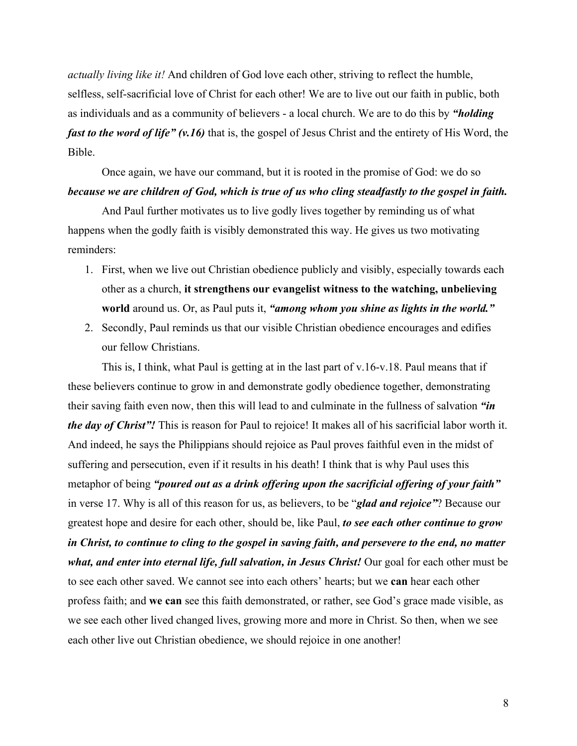*actually living like it!* And children of God love each other, striving to reflect the humble, selfless, self-sacrificial love of Christ for each other! We are to live out our faith in public, both as individuals and as a community of believers - a local church. We are to do this by *"holding fast to the word of life" (v.16)* that is, the gospel of Jesus Christ and the entirety of His Word, the Bible.

Once again, we have our command, but it is rooted in the promise of God: we do so *because we are children of God, which is true of us who cling steadfastly to the gospel in faith.*

And Paul further motivates us to live godly lives together by reminding us of what happens when the godly faith is visibly demonstrated this way. He gives us two motivating reminders:

- 1. First, when we live out Christian obedience publicly and visibly, especially towards each other as a church, **it strengthens our evangelist witness to the watching, unbelieving world** around us. Or, as Paul puts it, *"among whom you shine as lights in the world."*
- 2. Secondly, Paul reminds us that our visible Christian obedience encourages and edifies our fellow Christians.

This is, I think, what Paul is getting at in the last part of v.16-v.18. Paul means that if these believers continue to grow in and demonstrate godly obedience together, demonstrating their saving faith even now, then this will lead to and culminate in the fullness of salvation *"in the day of Christ"!* This is reason for Paul to rejoice! It makes all of his sacrificial labor worth it. And indeed, he says the Philippians should rejoice as Paul proves faithful even in the midst of suffering and persecution, even if it results in his death! I think that is why Paul uses this metaphor of being *"poured out as a drink offering upon the sacrificial offering of your faith"* in verse 17. Why is all of this reason for us, as believers, to be "*glad and rejoice"*? Because our greatest hope and desire for each other, should be, like Paul, *to see each other continue to grow in Christ, to continue to cling to the gospel in saving faith, and persevere to the end, no matter what, and enter into eternal life, full salvation, in Jesus Christ!* Our goal for each other must be to see each other saved. We cannot see into each others' hearts; but we **can** hear each other profess faith; and **we can** see this faith demonstrated, or rather, see God's grace made visible, as we see each other lived changed lives, growing more and more in Christ. So then, when we see each other live out Christian obedience, we should rejoice in one another!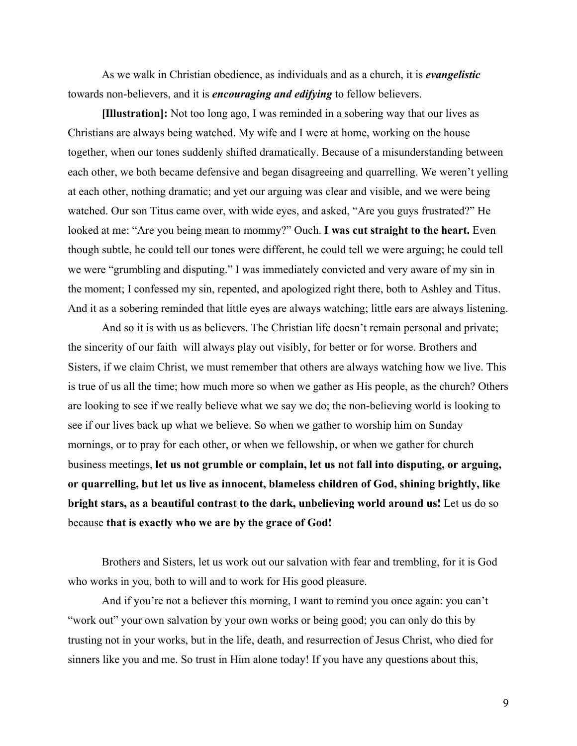As we walk in Christian obedience, as individuals and as a church, it is *evangelistic* towards non-believers, and it is *encouraging and edifying* to fellow believers.

**[Illustration]:** Not too long ago, I was reminded in a sobering way that our lives as Christians are always being watched. My wife and I were at home, working on the house together, when our tones suddenly shifted dramatically. Because of a misunderstanding between each other, we both became defensive and began disagreeing and quarrelling. We weren't yelling at each other, nothing dramatic; and yet our arguing was clear and visible, and we were being watched. Our son Titus came over, with wide eyes, and asked, "Are you guys frustrated?" He looked at me: "Are you being mean to mommy?" Ouch. **I was cut straight to the heart.** Even though subtle, he could tell our tones were different, he could tell we were arguing; he could tell we were "grumbling and disputing." I was immediately convicted and very aware of my sin in the moment; I confessed my sin, repented, and apologized right there, both to Ashley and Titus. And it as a sobering reminded that little eyes are always watching; little ears are always listening.

And so it is with us as believers. The Christian life doesn't remain personal and private; the sincerity of our faith will always play out visibly, for better or for worse. Brothers and Sisters, if we claim Christ, we must remember that others are always watching how we live. This is true of us all the time; how much more so when we gather as His people, as the church? Others are looking to see if we really believe what we say we do; the non-believing world is looking to see if our lives back up what we believe. So when we gather to worship him on Sunday mornings, or to pray for each other, or when we fellowship, or when we gather for church business meetings, **let us not grumble or complain, let us not fall into disputing, or arguing, or quarrelling, but let us live as innocent, blameless children of God, shining brightly, like bright stars, as a beautiful contrast to the dark, unbelieving world around us!** Let us do so because **that is exactly who we are by the grace of God!**

Brothers and Sisters, let us work out our salvation with fear and trembling, for it is God who works in you, both to will and to work for His good pleasure.

And if you're not a believer this morning, I want to remind you once again: you can't "work out" your own salvation by your own works or being good; you can only do this by trusting not in your works, but in the life, death, and resurrection of Jesus Christ, who died for sinners like you and me. So trust in Him alone today! If you have any questions about this,